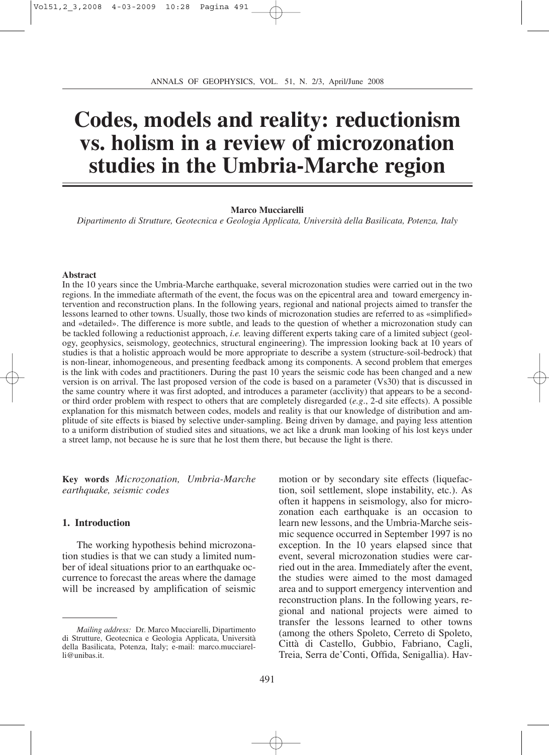# **Codes, models and reality: reductionism vs. holism in a review of microzonation studies in the Umbria-Marche region**

#### **Marco Mucciarelli**

*Dipartimento di Strutture, Geotecnica e Geologia Applicata, Università della Basilicata, Potenza, Italy*

#### **Abstract**

In the 10 years since the Umbria-Marche earthquake, several microzonation studies were carried out in the two regions. In the immediate aftermath of the event, the focus was on the epicentral area and toward emergency intervention and reconstruction plans. In the following years, regional and national projects aimed to transfer the lessons learned to other towns. Usually, those two kinds of microzonation studies are referred to as «simplified» and «detailed». The difference is more subtle, and leads to the question of whether a microzonation study can be tackled following a reductionist approach, *i.e.* leaving different experts taking care of a limited subject (geology, geophysics, seismology, geotechnics, structural engineering). The impression looking back at 10 years of studies is that a holistic approach would be more appropriate to describe a system (structure-soil-bedrock) that is non-linear, inhomogeneous, and presenting feedback among its components. A second problem that emerges is the link with codes and practitioners. During the past 10 years the seismic code has been changed and a new version is on arrival. The last proposed version of the code is based on a parameter (Vs30) that is discussed in the same country where it was first adopted, and introduces a parameter (acclivity) that appears to be a secondor third order problem with respect to others that are completely disregarded (*e.g*., 2-d site effects). A possible explanation for this mismatch between codes, models and reality is that our knowledge of distribution and amplitude of site effects is biased by selective under-sampling. Being driven by damage, and paying less attention to a uniform distribution of studied sites and situations, we act like a drunk man looking of his lost keys under a street lamp, not because he is sure that he lost them there, but because the light is there.

**Key words** *Microzonation, Umbria-Marche earthquake, seismic codes*

#### **1. Introduction**

The working hypothesis behind microzonation studies is that we can study a limited number of ideal situations prior to an earthquake occurrence to forecast the areas where the damage will be increased by amplification of seismic

motion or by secondary site effects (liquefaction, soil settlement, slope instability, etc.). As often it happens in seismology, also for microzonation each earthquake is an occasion to learn new lessons, and the Umbria-Marche seismic sequence occurred in September 1997 is no exception. In the 10 years elapsed since that event, several microzonation studies were carried out in the area. Immediately after the event, the studies were aimed to the most damaged area and to support emergency intervention and reconstruction plans. In the following years, regional and national projects were aimed to transfer the lessons learned to other towns (among the others Spoleto, Cerreto di Spoleto, Città di Castello, Gubbio, Fabriano, Cagli, Treia, Serra de'Conti, Offida, Senigallia). Hav-

*Mailing address:* Dr. Marco Mucciarelli, Dipartimento di Strutture, Geotecnica e Geologia Applicata, Università della Basilicata, Potenza, Italy; e-mail: marco.mucciarelli@unibas.it.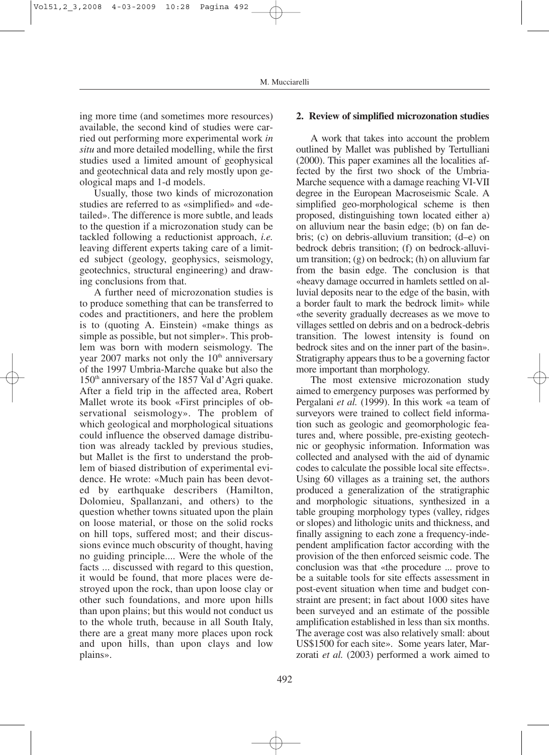ing more time (and sometimes more resources) available, the second kind of studies were carried out performing more experimental work *in situ* and more detailed modelling, while the first studies used a limited amount of geophysical and geotechnical data and rely mostly upon geological maps and 1-d models.

Usually, those two kinds of microzonation studies are referred to as «simplified» and «detailed». The difference is more subtle, and leads to the question if a microzonation study can be tackled following a reductionist approach, *i.e.* leaving different experts taking care of a limited subject (geology, geophysics, seismology, geotechnics, structural engineering) and drawing conclusions from that.

A further need of microzonation studies is to produce something that can be transferred to codes and practitioners, and here the problem is to (quoting A. Einstein) «make things as simple as possible, but not simpler». This problem was born with modern seismology. The year 2007 marks not only the  $10<sup>th</sup>$  anniversary of the 1997 Umbria-Marche quake but also the  $150<sup>th</sup>$  anniversary of the 1857 Val d'Agri quake. After a field trip in the affected area, Robert Mallet wrote its book «First principles of observational seismology». The problem of which geological and morphological situations could influence the observed damage distribution was already tackled by previous studies, but Mallet is the first to understand the problem of biased distribution of experimental evidence. He wrote: «Much pain has been devoted by earthquake describers (Hamilton, Dolomieu, Spallanzani, and others) to the question whether towns situated upon the plain on loose material, or those on the solid rocks on hill tops, suffered most; and their discussions evince much obscurity of thought, having no guiding principle.... Were the whole of the facts ... discussed with regard to this question, it would be found, that more places were destroyed upon the rock, than upon loose clay or other such foundations, and more upon hills than upon plains; but this would not conduct us to the whole truth, because in all South Italy, there are a great many more places upon rock and upon hills, than upon clays and low plains».

# **2. Review of simplified microzonation studies**

A work that takes into account the problem outlined by Mallet was published by Tertulliani (2000). This paper examines all the localities affected by the first two shock of the Umbria-Marche sequence with a damage reaching VI-VII degree in the European Macroseismic Scale. A simplified geo-morphological scheme is then proposed, distinguishing town located either a) on alluvium near the basin edge; (b) on fan debris; (c) on debris-alluvium transition; (d–e) on bedrock debris transition; (f) on bedrock-alluvium transition; (g) on bedrock; (h) on alluvium far from the basin edge. The conclusion is that «heavy damage occurred in hamlets settled on alluvial deposits near to the edge of the basin, with a border fault to mark the bedrock limit» while «the severity gradually decreases as we move to villages settled on debris and on a bedrock-debris transition. The lowest intensity is found on bedrock sites and on the inner part of the basin». Stratigraphy appears thus to be a governing factor more important than morphology.

The most extensive microzonation study aimed to emergency purposes was performed by Pergalani *et al.* (1999). In this work «a team of surveyors were trained to collect field information such as geologic and geomorphologic features and, where possible, pre-existing geotechnic or geophysic information. Information was collected and analysed with the aid of dynamic codes to calculate the possible local site effects». Using 60 villages as a training set, the authors produced a generalization of the stratigraphic and morphologic situations, synthesized in a table grouping morphology types (valley, ridges or slopes) and lithologic units and thickness, and finally assigning to each zone a frequency-independent amplification factor according with the provision of the then enforced seismic code. The conclusion was that «the procedure ... prove to be a suitable tools for site effects assessment in post-event situation when time and budget constraint are present; in fact about 1000 sites have been surveyed and an estimate of the possible amplification established in less than six months. The average cost was also relatively small: about US\$1500 for each site». Some years later, Marzorati *et al.* (2003) performed a work aimed to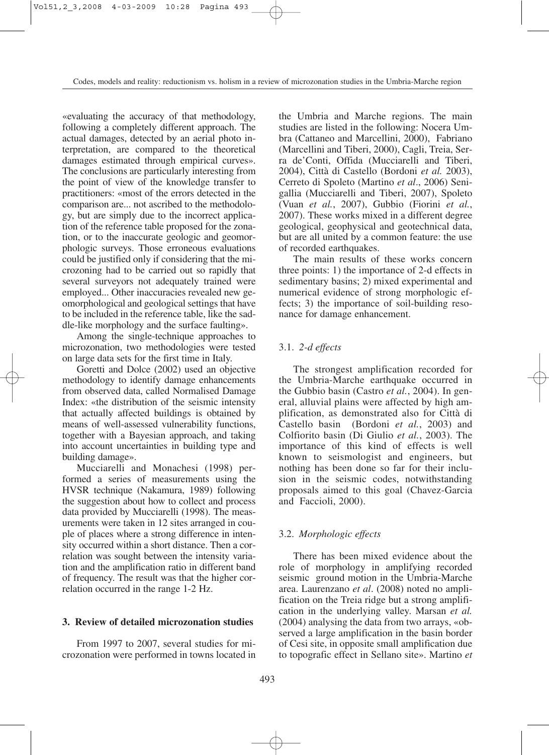«evaluating the accuracy of that methodology, following a completely different approach. The actual damages, detected by an aerial photo interpretation, are compared to the theoretical damages estimated through empirical curves». The conclusions are particularly interesting from the point of view of the knowledge transfer to practitioners: «most of the errors detected in the comparison are... not ascribed to the methodology, but are simply due to the incorrect application of the reference table proposed for the zonation, or to the inaccurate geologic and geomorphologic surveys. Those erroneous evaluations could be justified only if considering that the microzoning had to be carried out so rapidly that several surveyors not adequately trained were employed... Other inaccuracies revealed new geomorphological and geological settings that have to be included in the reference table, like the saddle-like morphology and the surface faulting».

Among the single-technique approaches to microzonation, two methodologies were tested on large data sets for the first time in Italy.

Goretti and Dolce (2002) used an objective methodology to identify damage enhancements from observed data, called Normalised Damage Index: «the distribution of the seismic intensity that actually affected buildings is obtained by means of well-assessed vulnerability functions, together with a Bayesian approach, and taking into account uncertainties in building type and building damage».

Mucciarelli and Monachesi (1998) performed a series of measurements using the HVSR technique (Nakamura, 1989) following the suggestion about how to collect and process data provided by Mucciarelli (1998). The measurements were taken in 12 sites arranged in couple of places where a strong difference in intensity occurred within a short distance. Then a correlation was sought between the intensity variation and the amplification ratio in different band of frequency. The result was that the higher correlation occurred in the range 1-2 Hz.

### **3. Review of detailed microzonation studies**

From 1997 to 2007, several studies for microzonation were performed in towns located in

the Umbria and Marche regions. The main studies are listed in the following: Nocera Umbra (Cattaneo and Marcellini, 2000), Fabriano (Marcellini and Tiberi, 2000), Cagli, Treia, Serra de'Conti, Offida (Mucciarelli and Tiberi, 2004), Città di Castello (Bordoni *et al.* 2003), Cerreto di Spoleto (Martino *et al*., 2006) Senigallia (Mucciarelli and Tiberi, 2007), Spoleto (Vuan *et al.*, 2007), Gubbio (Fiorini *et al.*, 2007). These works mixed in a different degree geological, geophysical and geotechnical data, but are all united by a common feature: the use of recorded earthquakes.

The main results of these works concern three points: 1) the importance of 2-d effects in sedimentary basins; 2) mixed experimental and numerical evidence of strong morphologic effects; 3) the importance of soil-building resonance for damage enhancement.

#### 3.1. *2-d effects*

The strongest amplification recorded for the Umbria-Marche earthquake occurred in the Gubbio basin (Castro *et al.*, 2004). In general, alluvial plains were affected by high amplification, as demonstrated also for Città di Castello basin (Bordoni *et al.*, 2003) and Colfiorito basin (Di Giulio *et al.*, 2003). The importance of this kind of effects is well known to seismologist and engineers, but nothing has been done so far for their inclusion in the seismic codes, notwithstanding proposals aimed to this goal (Chavez-Garcia and Faccioli, 2000).

#### 3.2. *Morphologic effects*

There has been mixed evidence about the role of morphology in amplifying recorded seismic ground motion in the Umbria-Marche area. Laurenzano *et al*. (2008) noted no amplification on the Treia ridge but a strong amplification in the underlying valley. Marsan *et al.* (2004) analysing the data from two arrays, «observed a large amplification in the basin border of Cesi site, in opposite small amplification due to topografic effect in Sellano site». Martino *et*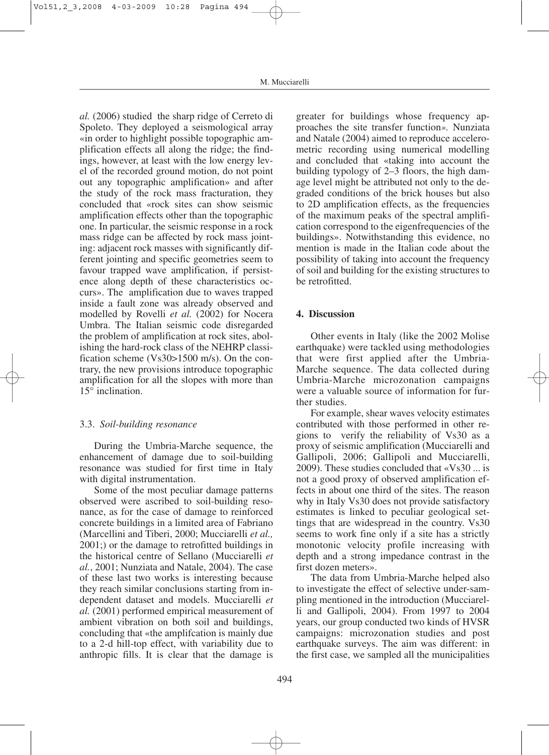*al.* (2006) studied the sharp ridge of Cerreto di Spoleto. They deployed a seismological array «in order to highlight possible topographic amplification effects all along the ridge; the findings, however, at least with the low energy level of the recorded ground motion, do not point out any topographic amplification» and after the study of the rock mass fracturation, they concluded that «rock sites can show seismic amplification effects other than the topographic one. In particular, the seismic response in a rock mass ridge can be affected by rock mass jointing: adjacent rock masses with significantly different jointing and specific geometries seem to favour trapped wave amplification, if persistence along depth of these characteristics occurs». The amplification due to waves trapped inside a fault zone was already observed and modelled by Rovelli *et al.* (2002) for Nocera Umbra. The Italian seismic code disregarded the problem of amplification at rock sites, abolishing the hard-rock class of the NEHRP classification scheme (Vs30>1500 m/s). On the contrary, the new provisions introduce topographic amplification for all the slopes with more than 15° inclination.

## 3.3. *Soil-building resonance*

During the Umbria-Marche sequence, the enhancement of damage due to soil-building resonance was studied for first time in Italy with digital instrumentation.

Some of the most peculiar damage patterns observed were ascribed to soil-building resonance, as for the case of damage to reinforced concrete buildings in a limited area of Fabriano (Marcellini and Tiberi, 2000; Mucciarelli *et al.,* 2001;) or the damage to retrofitted buildings in the historical centre of Sellano (Mucciarelli *et al.*, 2001; Nunziata and Natale, 2004). The case of these last two works is interesting because they reach similar conclusions starting from independent dataset and models. Mucciarelli *et al.* (2001) performed empirical measurement of ambient vibration on both soil and buildings, concluding that «the amplifcation is mainly due to a 2-d hill-top effect, with variability due to anthropic fills. It is clear that the damage is

greater for buildings whose frequency approaches the site transfer function*».* Nunziata and Natale (2004) aimed to reproduce accelerometric recording using numerical modelling and concluded that «taking into account the building typology of 2–3 floors, the high damage level might be attributed not only to the degraded conditions of the brick houses but also to 2D amplification effects, as the frequencies of the maximum peaks of the spectral amplification correspond to the eigenfrequencies of the buildings». Notwithstanding this evidence, no mention is made in the Italian code about the possibility of taking into account the frequency of soil and building for the existing structures to be retrofitted.

## **4. Discussion**

Other events in Italy (like the 2002 Molise earthquake) were tackled using methodologies that were first applied after the Umbria-Marche sequence. The data collected during Umbria-Marche microzonation campaigns were a valuable source of information for further studies.

For example, shear waves velocity estimates contributed with those performed in other regions to verify the reliability of Vs30 as a proxy of seismic amplification (Mucciarelli and Gallipoli, 2006; Gallipoli and Mucciarelli, 2009). These studies concluded that «Vs30 ... is not a good proxy of observed amplification effects in about one third of the sites. The reason why in Italy Vs30 does not provide satisfactory estimates is linked to peculiar geological settings that are widespread in the country. Vs30 seems to work fine only if a site has a strictly monotonic velocity profile increasing with depth and a strong impedance contrast in the first dozen meters».

The data from Umbria-Marche helped also to investigate the effect of selective under-sampling mentioned in the introduction (Mucciarelli and Gallipoli, 2004). From 1997 to 2004 years, our group conducted two kinds of HVSR campaigns: microzonation studies and post earthquake surveys. The aim was different: in the first case, we sampled all the municipalities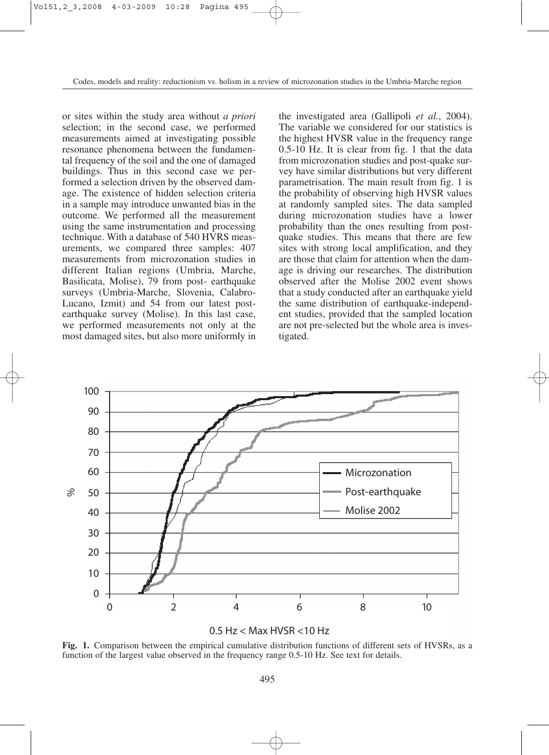or sites within the study area without *a priori* selection; in the second case, we performed measurements aimed at investigating possible resonance phenomena between the fundamental frequency of the soil and the one of damaged buildings. Thus in this second case we performed a selection driven by the observed damage. The existence of hidden selection criteria in a sample may introduce unwanted bias in the outcome. We performed all the measurement using the same instrumentation and processing technique. With a database of 540 HVRS measurements, we compared three samples: 407 measurements from microzonation studies in different Italian regions (Umbria, Marche, Basilicata, Molise), 79 from post- earthquake surveys (Umbria-Marche, Slovenia, Calabro-Lucano, Izmit) and 54 from our latest postearthquake survey (Molise). In this last case, we performed measurements not only at the most damaged sites, but also more uniformly in

the investigated area (Gallipoli *et al.*, 2004). The variable we considered for our statistics is the highest HVSR value in the frequency range 0.5-10 Hz. It is clear from fig. 1 that the data from microzonation studies and post-quake survey have similar distributions but very different parametrisation. The main result from fig. 1 is the probability of observing high HVSR values at randomly sampled sites. The data sampled during microzonation studies have a lower probability than the ones resulting from postquake studies. This means that there are few sites with strong local amplification, and they are those that claim for attention when the damage is driving our researches. The distribution observed after the Molise 2002 event shows that a study conducted after an earthquake yield the same distribution of earthquake-independent studies, provided that the sampled location are not pre-selected but the whole area is investigated.



0.5 Hz < Max HVSR <10 Hz

**Fig. 1.** Comparison between the empirical cumulative distribution functions of different sets of HVSRs, as a function of the largest value observed in the frequency range 0.5-10 Hz. See text for details.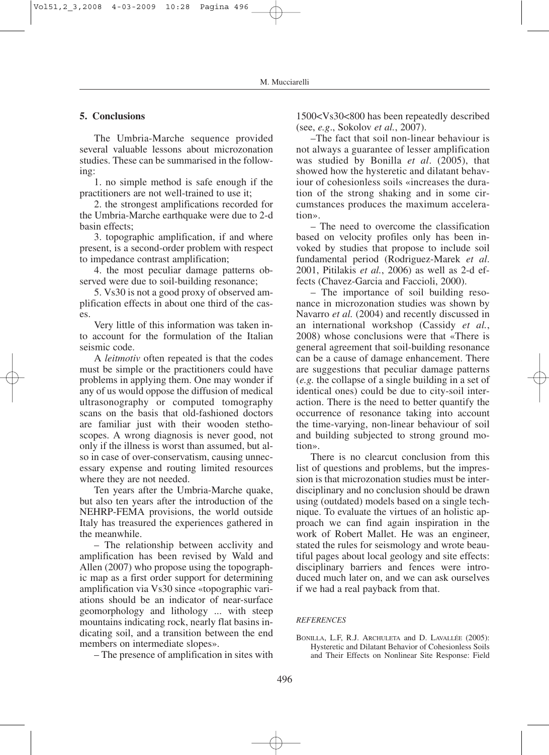## **5. Conclusions**

The Umbria-Marche sequence provided several valuable lessons about microzonation studies. These can be summarised in the following:

1. no simple method is safe enough if the practitioners are not well-trained to use it;

2. the strongest amplifications recorded for the Umbria-Marche earthquake were due to 2-d basin effects;

3. topographic amplification, if and where present, is a second-order problem with respect to impedance contrast amplification;

4. the most peculiar damage patterns observed were due to soil-building resonance;

5. Vs30 is not a good proxy of observed amplification effects in about one third of the cases.

Very little of this information was taken into account for the formulation of the Italian seismic code.

A *leitmotiv* often repeated is that the codes must be simple or the practitioners could have problems in applying them. One may wonder if any of us would oppose the diffusion of medical ultrasonography or computed tomography scans on the basis that old-fashioned doctors are familiar just with their wooden stethoscopes. A wrong diagnosis is never good, not only if the illness is worst than assumed, but also in case of over-conservatism, causing unnecessary expense and routing limited resources where they are not needed.

Ten years after the Umbria-Marche quake, but also ten years after the introduction of the NEHRP-FEMA provisions, the world outside Italy has treasured the experiences gathered in the meanwhile.

– The relationship between acclivity and amplification has been revised by Wald and Allen (2007) who propose using the topographic map as a first order support for determining amplification via Vs30 since «topographic variations should be an indicator of near-surface geomorphology and lithology ... with steep mountains indicating rock, nearly flat basins indicating soil, and a transition between the end members on intermediate slopes».

– The presence of amplification in sites with

1500<Vs30<800 has been repeatedly described (see, *e.g*., Sokolov *et al.*, 2007).

–The fact that soil non-linear behaviour is not always a guarantee of lesser amplification was studied by Bonilla *et al*. (2005), that showed how the hysteretic and dilatant behaviour of cohesionless soils «increases the duration of the strong shaking and in some circumstances produces the maximum acceleration».

– The need to overcome the classification based on velocity profiles only has been invoked by studies that propose to include soil fundamental period (Rodriguez-Marek *et al*. 2001, Pitilakis *et al.*, 2006) as well as 2-d effects (Chavez-Garcia and Faccioli, 2000).

– The importance of soil building resonance in microzonation studies was shown by Navarro *et al.* (2004) and recently discussed in an international workshop (Cassidy *et al.*, 2008) whose conclusions were that «There is general agreement that soil-building resonance can be a cause of damage enhancement. There are suggestions that peculiar damage patterns (*e.g.* the collapse of a single building in a set of identical ones) could be due to city-soil interaction. There is the need to better quantify the occurrence of resonance taking into account the time-varying, non-linear behaviour of soil and building subjected to strong ground motion».

There is no clearcut conclusion from this list of questions and problems, but the impression is that microzonation studies must be interdisciplinary and no conclusion should be drawn using (outdated) models based on a single technique. To evaluate the virtues of an holistic approach we can find again inspiration in the work of Robert Mallet. He was an engineer, stated the rules for seismology and wrote beautiful pages about local geology and site effects: disciplinary barriers and fences were introduced much later on, and we can ask ourselves if we had a real payback from that.

#### *REFERENCES*

BONILLA, L.F, R.J. ARCHULETA and D. LAVALLÉE (2005): Hysteretic and Dilatant Behavior of Cohesionless Soils and Their Effects on Nonlinear Site Response: Field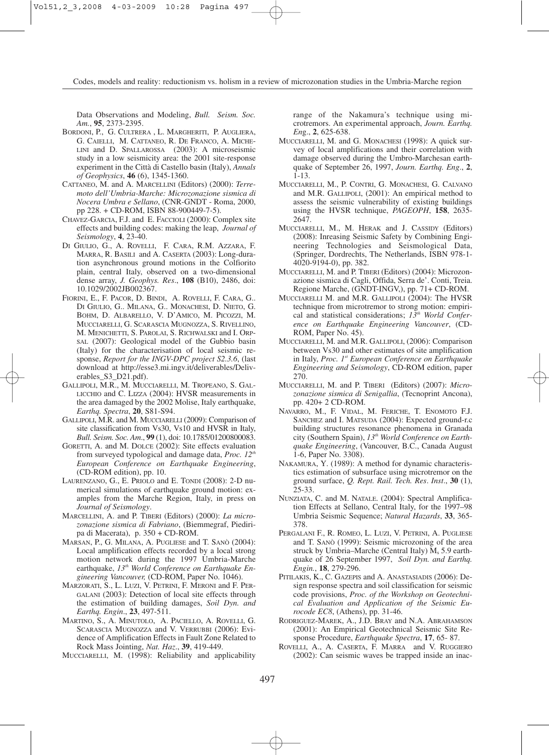Data Observations and Modeling, *Bull. Seism. Soc. Am.*, **95**, 2373-2395.

- BORDONI, P., G. CULTRERA , L. MARGHERITI, P. AUGLIERA, G. CAIELLI, M. CATTANEO, R. DE FRANCO, A. MICHE-LINI and D. SPALLAROSSA (2003): A microseismic study in a low seismicity area: the 2001 site-response experiment in the Città di Castello basin (Italy), *Annals of Geophysics*, **46** (6), 1345-1360.
- CATTANEO, M. and A. MARCELLINI (Editors) (2000): *Terremoto dell'Umbria-Marche: Microzonazione sismica di Nocera Umbra e Sellano*, (CNR-GNDT - Roma, 2000, pp 228. + CD-ROM, ISBN 88-900449-7-5).
- CHAVEZ-GARCIA, F.J. and E. FACCIOLI (2000): Complex site effects and building codes: making the leap, *Journal of Seismology*, **4**, 23-40.
- DI GIULIO, G., A. ROVELLI, F. CARA, R.M. AZZARA, F. MARRA, R. BASILI and A. CASERTA (2003): Long-duration asynchronous ground motions in the Colfiorito plain, central Italy, observed on a two-dimensional dense array, *J. Geophys. Res*., **108** (B10), 2486, doi: 10.1029/2002JB002367.
- FIORINI, E., F. PACOR, D. BINDI, A. ROVELLI, F. CARA, G.. DI GIULIO, G.. MILANA, G.. MONACHESI, D. NIETO, G. BOHM, D. ALBARELLO, V. D'AMICO, M. PICOZZI, M. MUCCIARELLI, G. SCARASCIA MUGNOZZA, S. RIVELLINO, M. MENICHETTI, S. PAROLAI, S. RICHWALSKI and I. ORP-SAL (2007): Geological model of the Gubbio basin (Italy) for the characterisation of local seismic response, *Report for the INGV-DPC project S2.3.6*, (last download at http://esse3.mi.ingv.it/deliverables/Deliverables\_S3\_D21.pdf).
- GALLIPOLI, M.R., M. MUCCIARELLI, M. TROPEANO, S. GAL-LICCHIO and C. LIZZA (2004): HVSR measurements in the area damaged by the 2002 Molise, Italy earthquake, *Earthq. Spectra*, **20**, S81-S94.
- GALLIPOLI, M.R. and M. MUCCIARELLI (2009): Comparison of site classification from Vs30, Vs10 and HVSR in Italy, *Bull. Seism. Soc. Am*., **99** (1), doi: 10.1785/01200800083.
- GORETTI, A. and M. DOLCE (2002): Site effects evaluation from surveyed typological and damage data, *Proc. 12th European Conference on Earthquake Engineering*, (CD-ROM edition), pp. 10.
- LAURENZANO, G., E. PRIOLO and E. TONDI (2008): 2-D numerical simulations of earthquake ground motion: examples from the Marche Region, Italy, in press on *Journal of Seismology*.
- MARCELLINI, A. and P. TIBERI (Editors) (2000): *La microzonazione sismica di Fabriano*, (Biemmegraf, Piediripa di Macerata), p. 350 + CD-ROM.
- MARSAN, P., G. MILANA, A. PUGLIESE and T. SANÒ (2004): Local amplification effects recorded by a local strong motion network during the 1997 Umbria-Marche earthquake, 13<sup>th</sup> World Conference on Earthquake En*gineering Vancouver,* (CD-ROM, Paper No. 1046).
- MARZORATI, S., L. LUZI, V. PETRINI, F. MERONI and F. PER-GALANI (2003): Detection of local site effects through the estimation of building damages, *Soil Dyn. and Earthq. Engin*., **23**, 497-511.
- MARTINO, S., A. MINUTOLO, A. PACIELLO, A. ROVELLI, G. SCARASCIA MUGNOZZA and V. VERRUBBI (2006): Evidence of Amplification Effects in Fault Zone Related to Rock Mass Jointing, *Nat. Haz*., **39**, 419-449.

MUCCIARELLI, M. (1998): Reliability and applicability

range of the Nakamura's technique using microtremors. An experimental approach, *Journ. Earthq. En*g., **2**, 625-638.

- MUCCIARELLI, M. and G. MONACHESI (1998): A quick survey of local amplifications and their correlation with damage observed during the Umbro-Marchesan earthquake of September 26, 1997, *Journ. Earthq. Eng*., **2**, 1-13.
- MUCCIARELLI, M., P. CONTRI, G. MONACHESI, G. CALVANO and M.R. GALLIPOLI, (2001): An empirical method to assess the seismic vulnerability of existing buildings using the HVSR technique, *PAGEOPH*, **158**, 2635- 2647.
- MUCCIARELLI, M., M. HERAK and J. CASSIDY (Editors) (2008): Inreasing Seismic Safety by Combining Engineering Technologies and Seismological Data, (Springer, Dordrechts, The Netherlands, ISBN 978-1- 4020-9194-0), pp. 382.
- MUCCIARELLI, M. and P. TIBERI (Editors) (2004): Microzonazione sismica di Cagli, Offida, Serra de'. Conti, Treia. Regione Marche, (GNDT-INGV,), pp. 71+ CD-ROM.
- MUCCIARELLI M. and M.R. GALLIPOLI (2004): The HVSR technique from microtremor to strong motion: empirical and statistical considerations;  $13^{th}$  *World Conference on Earthquake Engineering Vancouver*, (CD-ROM, Paper No. 45).
- MUCCIARELLI, M. and M.R. GALLIPOLI, (2006): Comparison between Vs30 and other estimates of site amplification in Italy, *Proc. 1st European Conference on Earthquake Engineering and Seismology*, CD-ROM edition, paper 270.
- MUCCIARELLI, M. and P. TIBERI (Editors) (2007): *Microzonazione sismica di Senigallia*, (Tecnoprint Ancona), pp. 420+ 2 CD-ROM.
- NAVARRO, M., F. VIDAL, M. FERICHE, T. ENOMOTO F.J. SANCHEZ and I. MATSUDA (2004): Expected ground-r.c building structures resonance phenomena in Granada city (Southern Spain), 13<sup>th</sup> World Conference on Earth*quake Engineering*, (Vancouver, B.C., Canada August 1-6, Paper No. 3308).
- NAKAMURA, Y. (1989): A method for dynamic characteristics estimation of subsurface using microtremor on the ground surface, *Q. Rept. Rail. Tech. Res*. *Inst*., **30** (1), 25-33.
- NUNZIATA, C. and M. NATALE. (2004): Spectral Amplification Effects at Sellano, Central Italy, for the 1997–98 Umbria Seismic Sequence; *Natural Hazards*, **33**, 365- 378.
- PERGALANI F., R. ROMEO, L. LUZI, V. PETRINI, A. PUGLIESE and T. SANÒ (1999): Seismic microzoning of the area struck by Umbria–Marche (Central Italy)  $M_s$  5.9 earthquake of 26 September 1997, *Soil Dyn. and Earthq. Engin.*, **18**, 279-296.
- PITILAKIS, K., C. GAZEPIS and A. ANASTASIADIS (2006): Design response spectra and soil classification for seismic code provisions, *Proc. of the Workshop on Geotechnical Evaluation and Application of the Seismic Eurocode EC8*, (Athens), pp. 31-46.
- RODRIGUEZ-MAREK, A., J.D. BRAY and N.A. ABRAHAMSON (2001): An Empirical Geotechnical Seismic Site Response Procedure, *Earthquake Spectra*, **17**, 65- 87.
- ROVELLI, A., A. CASERTA, F. MARRA and V. RUGGIERO (2002): Can seismic waves be trapped inside an inac-